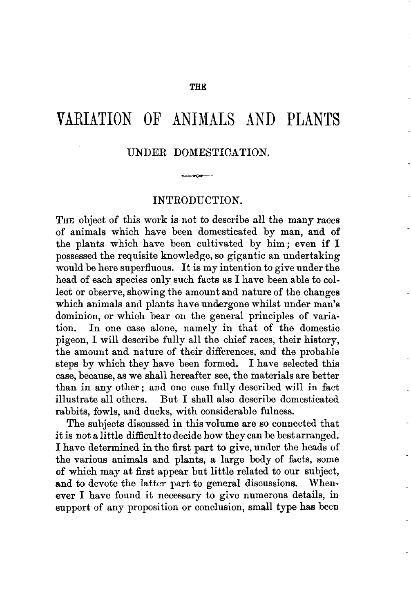## VARIATION OF ANIMALS AND PLANTS

## UNDER DOMESTICATION.

## INTRODUCTION.

**THE** object of this work is not to describe all the many races of animals which have been domesticated by man, and of the plants which have been cultivated by him; even if I possessed the requisite knowledge, so gigantic an undertaking would be here superfluous. It is my intention to give under the head of each species only such facts as I have been able to collect or observe, showing the amount and nature of the changes which animals and plants have undergone whilst under man's dominion, or which bear on the general principles of variation. In one case alone, namely in that of the domestic pigeon, I will describe fully all the chief races, their history, the amount and nature of their differences, and the probable steps by which they have been formed. I have selected this case, because, as we shall hereafter see, the materials are better than in any other; and one case fully described will in fact illustrate all others. But I shall also describe domesticated rabbits, fowls, and ducks, with considerable fulness.

The subjects discussed in this volume are so connected that it is not a little difficultto decide how they can be bestarranged. I have determined in the first part to give, under the heads of the various animals and plants, a large body of facts, some **of** which may at first appear but little related to our subject, and to devote the latter part to general discussions. Whenever I have found it necessary to give numerous details, in support of any proposition or conclusion, small type has been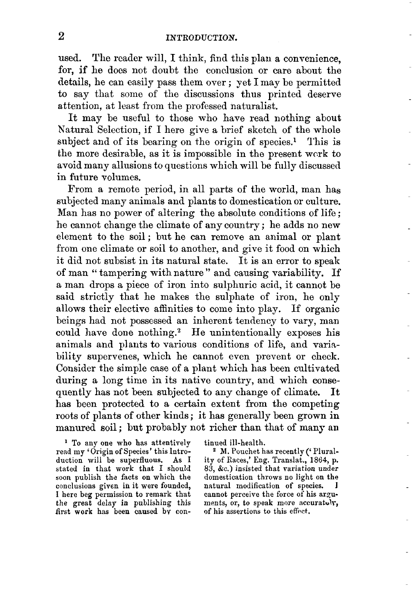used. The reader will, I think, find this plan a convenience, for, if he does not doubt the conclusion or care about the details, he can easily pass them over ; yet I may be permitted to say that some of the discussions thus printed deserve attention, at least from the professed naturalist.

It may be useful to those who have read nothing about Natural Selection, if I here give a brief sketch of the whole subject and of its bearing on the origin of species.<sup>1</sup> This is the more desirable, as it is impossible in the present work to avoid many allusions to questions which will be fully discussed in future volumes.

From a remote period, in all parts of the world, man has subjected many animals and plants to domestication or culture. Man has no power of altering the absolute conditions of life ; he cannot change the climate of any country ; he adds no new element to the soil; but he can remove an animal or plant from one climate or soil to another, and give it food on which it did not subsist in its natural state. It is an error to speak of man " tampering with nature " and causing variability. If a man drops a piece of iron into sulphuric acid, it cannot be said strictiy that he makes the sulphate of iron, he only allows their elective affinities to come into play. If organic beings had not possessed an inherent tendency to vary, man could have done nothing.<sup>2</sup> He unintentionally exposes his animals and plants to various conditions of life, and variability supervenes, which he cannot even prevent or check. Consider the simple case of a plant which has been cultivated during a long time in its native country, and which consequently has not been subjected to any change of climate. It has been protected to a certain extent from the competing roots of plants of other kinds ; it has generally been grown in manured soil; but probably not richer than that of many an

<sup>1</sup> To any one who has attentively read my 'Origin of Species' this Introduction will be superfluous. **As** I stated in that work that I should soon publish the facts on which the conclusions given in it were founded, **I** here beg permission to remark that the great delay in publishing this Arst **work** has been caused bv continued ill-health.

<sup>2</sup> M. Pouchet has recently ('Plurality of Races,' **Eng.** Translat., 1864, p. **83, &c.)** insisted that variation under domestication throws no light on the natural modification of species. cannot perceive the force of his arguments, or, to speak more accuratuly, of his assertions to this **effcct.**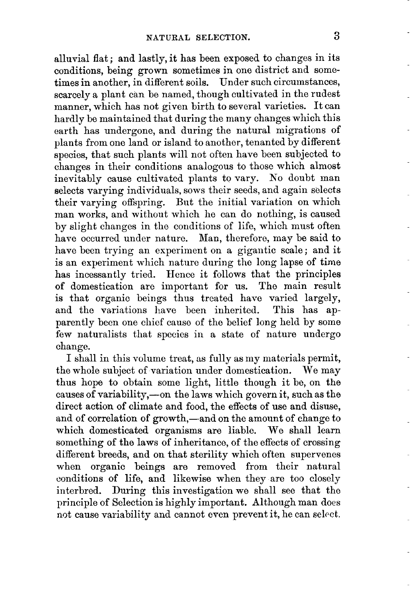alluvial flat; and lastly, it has been exposed to changes in its conditions, being grown sometimes in one district and sometimes in another, in different soils. Under such circumstances, scarcely a plant can be named, though cultivated in the rudest manner, which has not given birth to several varieties. It can hardly be maintained that during the many changes which this earth has undergone, and during the natural migrations of plants from one land or island to another, tenanted by different species, that such plants will not often have been subjected to changes in their conditions analogous to those which almost inevitably cause cultivated plants to vary. No doubt man selects varying individuals, sows their seeds, and again selects their varying offspring. But the initial variation on which man works, and without which he can do nothing, is caused by slight changes in the conditions of life, which must often have occurred under nature. Man, therefore, may be said to have been trying an experiment on a gigantic scale; and it is an experiment which nature during the long lapse of time has incessantly tried. Hence it follows that the principles of domestication are important for us. The main result is that organic beings thus treated have varied largely, and the variations have been inherited. This has apparently been one chief cause of the belief long held by some few naturalists that species in a state of nature undergo change.

I shall in this volume treat, as fully as my materials permit, the whole subject of variation under domestication. We may thus hope to obtain some light, little though it be, on the causes of variability,-on the laws which govern it, such as the direct action of climate and food, the effects of use and disuse, and of correlation of growth,—and on the amount of change to which domesticated organisms are liable. We shall learn something of the laws of inheritance, of the effects of crossing different breeds, and on that sterility which often supervenes when organic beings are removed from their natural conditions of life, and likewise when they are too closely interbred. During this investigation we shall see that the principle of Selection is highly important. Although man does not cause variability and cannot even prevent it, he can select.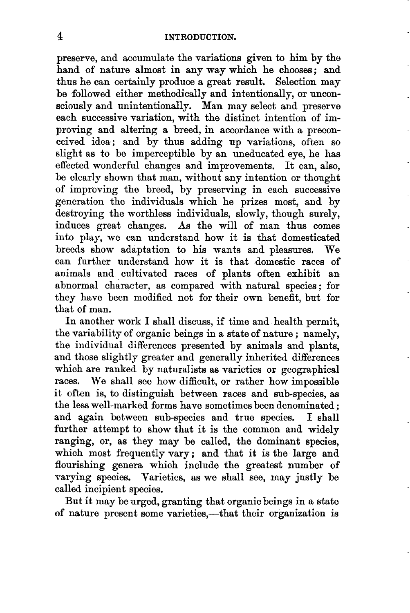preserve, and accumulate the variations given to him by tho hand of nature almost in any way which he chooses; and thus he can certainly produce a great result. Selection may be followed either methodically and intentionally, or unconsciously and unintentionally. Man may select and preserve each successive variation, with the distinct intention of improving and altering a breed, in accordance with a preconceived idea; and by thus adding up variations, often so slight as to be imperceptible by an uneducated eye, he has effected wonderful changes and improvements. It can, also, be clearly shown that man, without any intention or thought of improving the breed, by preserving in each successive generation the individuals which he prizes most, and by destroying the worthless individuals, slowly, though surely, induces great changes. **As** the will of man thus comes into play, we can understand how it is that domesticated breeds show adaptation to his wants and pleasures. We can further understand how it is that domestic races of animals and cultivated races of plants often exhibit an abnormal character, as compared with natural species ; for they have been modified not for their own benefit, but for that of man.

In another work I shall discuss, if time and health permit, the variability of organic beings in a state of nature ; namely, the individual differences presented by animals and plants, and those slightly greater and generally inherited differences which are ranked by naturalists as varieties or geographical races. We shall see how difficult, or rather how impossible it often is, to distinguish between races and sub-species, aa the less well-marked forms have sometimes been denominated ; and again between sub-species and true species. I shall further attempt to show that it is the common and widely ranging, **or,** as they may be called, the dominant species, which most frequently vary; and that it is the large and flourishing genera which include the greatest number of varying species. Varieties, as we shall see, may justly be called incipient species.

But it may be urged, granting that organic beings in a state of nature present some varieties,—that their organization is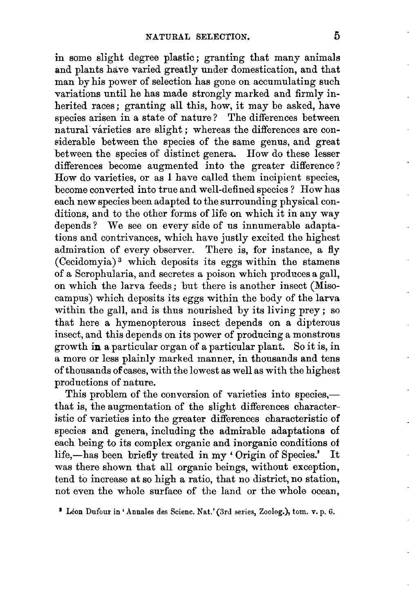in some slight degree plastic; granting that many animals and plants have varied greatly under domestication, and that man by his power of selection has gone on accumulating such variations until he has made strongly marked and firmly inherited races; granting all this, how, it may be asked, have species arisen in a state of nature? The differences between natural várieties are slight; whereas the differences are considerable between the species of the same genus, and great between the species of distinct genera. How do these lesser differences become augmented into the greater difference ? How do varieties, or as **I** have called them incipient species, become converted into true and well-defined species ? How has each new species been adapted to the surrounding physical conditions, and to the other forms of life on which it in any way depends? We see on every side of us innumerable adaptations and contrivances, which have justly excited the highest admiration of every observer. There is, for instance, a fly (Cecidomyia) which deposits its eggs within the stamens of a Scrophularia, and secretes a poison which produces **a** gall, on which the larva feeds ; but there is another insect (Misocampus) which deposits its eggs within the body of the larva within the gall, and is thus nourished by its living prey ; *so*  that here **a** hymenopterous insect depends on **a** dipterous insect, and this depends on its power of producing a monstrous growth in a particular organ of a particular plant. So it is, in a more or less plainly marked manner, in thousands and tens of thousands ofcases, with the lowest as well as with the highest productions of nature.

This problem of the conversion of varieties into species,that is, the augmentation of the slight differences characteristic of varieties into the greater differences characteristic of species and genera, including the admirable adaptations **of**  each being to its complex organic and inorganic conditions **of**  life,-has been briefly treated in my 'Origin of Species.' It was there shown that all organic beings, without exception, tend to increase at so high **a** ratio, that no district, no station, not even the whole surface of the land or the whole ocean,

**LBon Dufour** in **'Andes des Scienc. Kat.'(3rd series, Zoolog.),** tom. **v.** p. *6.*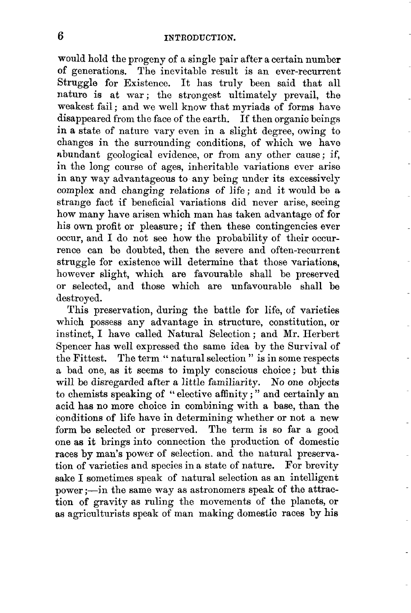would hold the progeny of a single pair after a certain number **of** generations. The inevitable result is an ever-recurrent Struggle for Existence. It has truly been said that all nature is at war; the strongest ultimately prevail, the weakest fail: and we well know that myriads of forms have disappeared from the face of the earth. If then organic beings in a state of nature vary even in a slight degree, owing to changes in the surrounding conditions, of which we haw nbundant geological evidence, or from any other cause ; if, in the long course of ages, inheritable variations ever arise in any way advantageous to any being under its excessively complex and changing relations of life; and it would be a strange fact if beneficial variations did never arise, seeing how many have arisen which man has taken advantage of for his own profit or pleasure: if then these contingencies ever occur, and I do not see how the probability of their occurrence can be doubted, then the severe and often-recurrent struggle for existence will determine that those variations, however slight, which are favourable shall be preserved or selected, and those which are unfavourable shall be destroyed.

This preservation, during the battle for life, of varieties which possess any advantage in structure, constitution, or instinct, I have called Natural Selection ; and Mr. Herbert Spencer has well expressed the same idea by the Survival of the Fittest. The term " natural selection " is in some respects a bad one, as it seems to imply conscious choice; but this will be disregarded after a little familiarity. No one objects to chemists speaking of " elective affinity ; " and certainly an acid has no more choice in combining with a base, than the conditions of life have in determining whether or not a new form be selected or preserved. The term is so far a good one as it brings into connection the production of domestic races by man's power of selection. and the natural preservation of varieties and species in a state of nature. For brevity sake I sometimes speak of natural selection as an intelligent  $power := in the same way as astronomers speak of the attrac$ tion of gravity as ruling the movements of the planets, or as agriculturists speak of man making domestic races by his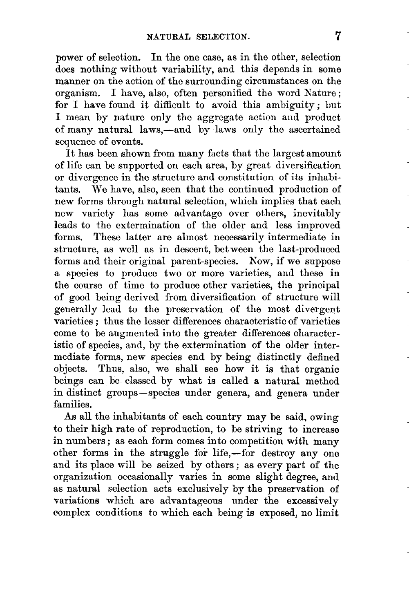power of selection. In the one case, as in the other, selection does nothing without variability, and this depends in some manner on the action of the surrounding circumstances on the organism. I have, also, often personified the word Nature ; for I have found it difficult to avoid this ambiguity; but I mean by nature only the aggregate action and product of many natural laws,-and by laws only the ascertained sequence of events.

It has been shown from many facts that the largest amount of life can be supported on each area, by great diversification or divergence in the structure and constitution of its inhabitants. We have, also, seen that the continued production of new forms through natural selection, which implies that each new variety has some advantage over others, inevitably leads to the extermination of the older and less improved forms. These latter are almost necessarily intermediate in structure, as well as in descent, between the last-produced forms and their original parent-species. Kow, if we suppose a species to produce two or more varieties, and these in the course of time to produce other varieties, the principal of good being derived from diversification of structure will generally lead to the preservation of the most divergent varieties ; thus the lesser differences characteristic of varieties come to be augmented into the greater differences characteristic of species, and, by the extermination of the older intermediate forms, new species end by being distinctly defined objects. Thus, also, we shall see how it is that organic beings can be classed by what is called a natural method in distinct groups -species under genera, and genera under families.

**As** all the inhabitants of each country may be said, owing to their high rate of reproduction, to be striving to increase in numbers; as each form comes into competition with many other forms in the struggle for life,-for destroy any one and its place will be seized by others ; as every part of the organization occasionally varies in some slight degree, and as natural selection acts exclusively by the preservation of variations which are advantageous under the excessively complex conditions *to* which each being is exposed, no limit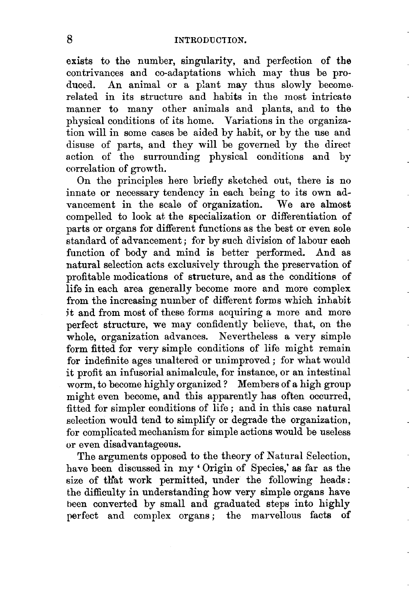exists to the number, singularity, and perfection of the contrivances and co-adaptations which may thus be produced. An animal or a plant may thus slowly become. related in its structure and habits in the most intricate manner to many other animals and plants, and to the physical conditions of **its** home. Variations in the organization will in some cases be aided by habit, or by the use and disuse of parts, and they will be governed by the direct action of the surrounding physical conditions and by correlation of growth.

On the principles here briefly sketched out, there **is** no innate or necessary tendency in each being to its own advancement in the scale of organization. We are almost compelled to look at the specialization or differentiation of parts or organs for different functions as the best or even sole standard of advancement; for by such division of labour each function of body and mind is better performed. And as natural selection acts exclusively through the preservation of profitable modications of strueture, and as the conditions **of**  life in each area generally become more and more complex from the increasing number of different forms which inhabit it and from most of these forms acquiring a more and more perfect structure, we may confidently believe, that, on the whole, organization advances. Nevertheless a very simple form fitted for very simple conditions of life might remain for indefinite ages unaltered or unimproved ; for what would it profit an infusorial animalcule, for instance, or an intestinal worm, to become highly organized ? Members of a high group might even become, and this apparently has often occurred, fitted for simpler conditions of life ; and in this case natural selection would tend to simplify or degrade the organization, for complicated mechanism for simple actions would be useless or even disadvantageous.

The arguments opposed to the theory of Natural Selection, have been discussed in my ' Origin of Species,' as far as the size of that work permitted, under the following heads: the difficulty in understanding how very simple organs have been converted by small and graduated steps into highly perfect and complex organs; the marvellous facts of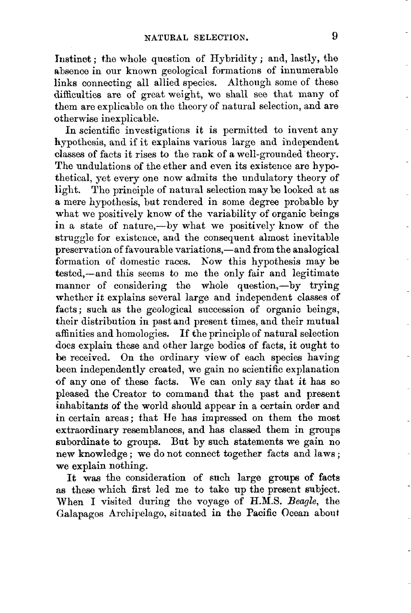Instinct; the whole question of Hybridity; and, lastly, the absence in our known geological formations of innumerable links connecting all allied species. Although some of these difficulties are of great weight, we shall see that many of them are explicable on the theory of natural selection, and are otherwise inexplicable.

In scientific investigations it is permitted to invent any hypothesis, and if it explains various large and independent classes of facts it rises to the rank of a well-grounded theory. The undulations of the ether and even its existence are hypothetical, yet every one now admits the undulatory theory of light. The principle of natural selection may be looked at as **a** mere hypothesis, but rendered in some degree probable by what we positively know of the variability of organic beings in a state of nature,-by what we positively know of the struggle for existence, and the consequent almost inevitable preservation of favourable variations,-and from the analogical formation of domestic races. Kow this hypothesis may be tested,-and this seems to me the only fair and legitimate manner of considering the whole question,-by trying whether it explains several large and independent classes of facts; such as the geological succession of organic beings, their distribution in past and present times, and their mutual affinities and homologies. If the principle of natural selection does explain these and okher large bodies of facts, it ought to be received. On the ordinary view of each speciea having been independently created, we gain no scientific explanation of any one of these facts. We can only say that it has so pleased the Creator to command that the past and present inhabitants **of** the world should appear in a certain order and in certain areas; that He has impressed on them the most extraordinary resemblances, and has classed them in groups subordinate to groups. **But** by such statements we gain no new knowledge; we do not connect together facts and laws; we explain nothing.

**It** was the consideration of such large groups of **facts as** these which first led me to take **up** the present subject. When I visited during the voyage of R.M.S. *Beagle,* the Galapagos Archipelago, situated in the Pacific Ocean about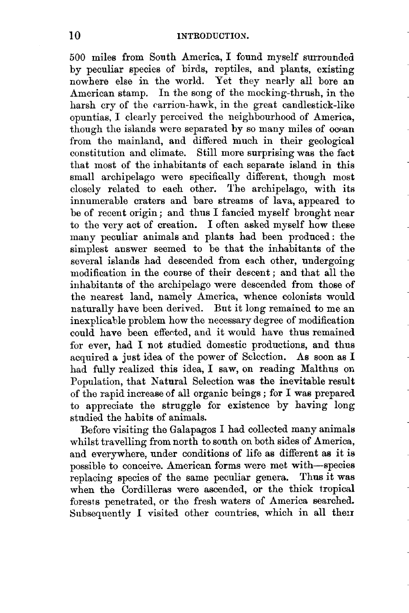500 miles from South America, I found myself surrounded by peculiar species of birds, reptiles, and plants, existing nowhere else in the world. Yet they nearly all bore **an**  American stamp. In the song of the mocking-thrush, in the harsh cry of the carrion-hawk, in the great candlestick-like opuntias, I clearly perceived the neighbourhood of America, though the islands were separated **by** so many miles of ocean from the mainland, and differed much in their geological constitution and climate. Still more surprising was the fact that most of the inhabitants of each separate island in this small archipelago were specifically different, though most closely related to each other. The archipelago, with its innumerable craters and bare streams of lava, appeared to be of recent origin; and thus I fancied myself brought near to the very act of creation. I often asked myself how these many peculiar animals and plants had been produced : the simplest answer seemed to be that the inhabitants of the several islands had descended from each other, undergoing modification in the course of their descent; and that all the inhabitants of the archipelago were descended from those **of**  the nearest land, namely America, whence colonists wodd naturally have been derived. But it long remained to me an inexplicable problem how the necessary degree of modification could have been effected, and it would have thus remained for ever, had I not studied domestic productions, and thus acquired a just idea **of** the power of Selection. As soon as I had fully realized this idea, I saw, on reading Malthus on Population, that Natural Selection was the inevitable result of the rapid increase of all organic beings ; for I was prepared to appreciate the struggle for existence by having long studied the habits of animals.

Before visiting the Galapagos I had collected many animal8 whilst travelling from north to south on both sides of America, and everywhere, under conditions of life **as** different as it is possible to conceive. American forms were met with-species replacing species of the same peculiar genera. Thus it was when the Cordilleras were ascended, **or** the thick tropical forests penetrated, or the fresh waters of America searched. Subsequently I visited other countries, which in all their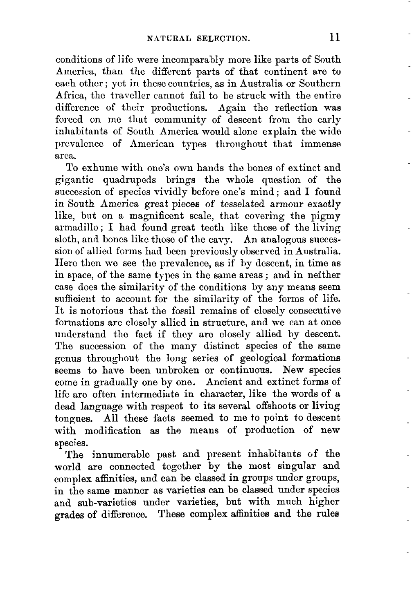conditions of life were incomparably more like parts of South America, than the different parts of that continent are to each other ; yet in these countries, as in Australia or Southern Africa, the traveller cannot fail to be struck with the entire difference of their productions. Again the reflection was forced on me that community of descent from the early inhabitants of South America would alone explain the wide prevalcncc of American types throughout that immense area.

To exhume with one's own hands tho bones of extinct and gigantic quadrupeds brings the whole question of the succession of species vividly before one's mind ; and I found in South America great pieces of tesselated armour exactly like, but on a magnificent scale, that covering the pigmy armadillo ; I had found great tecth like those of the living sloth, and boncs like thoso of the cavy. An analogous succession of allied fcrms had been previously observed in Australia. Here then we see the prevalence, as if by descent, in time as in space, of the same types in the same areas ; and in neither case does the similarity of the conditions by any means seem sufficient to account for the similarity of the forms **of** life. It is notorious that the fossil remains of closely consecutive formations are closely allied in structure, and we can at once understand the fact if they are closely allied by descent. The succession of the many distinct species of the same genus throughout the long series of geological formations seems to have been unbroken or continuous. **New** species come in gradually one by one. Ancient and extinct forms **of**  life are often intermediate in character, like the words of **a**  dead language with respect to its several offshoots or living tongues. All these facts seemed to me to point to descent with modification as the means of production of new species.

The innumerable past and present inhabitants of the world are connected together by the most singular and complex affinities, and can be classed in groups under groups, in the same manner as varieties can be classed under species and sub-varieties under varieties, but with much higher grades **of** difference. These complex affinities and the rules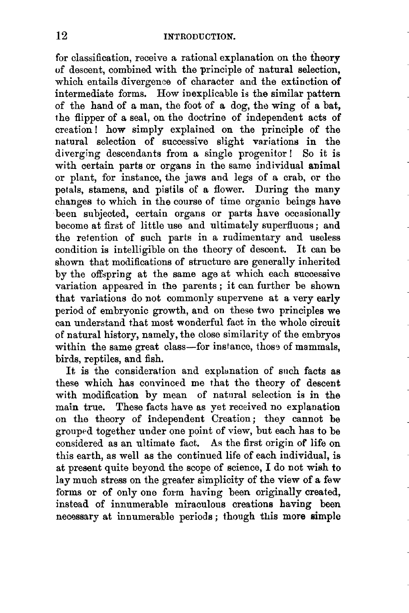for classification, receive a rational explanation on the theory of descent, combined with the principle of natural selection, which entails divergence of character and the extinction **of**  intermediate forms. How inexplicable is the similar pattern of the hand of a man, the foot of a dog, the wing of a bat, the flipper of a seal, on the doctrine of independent acts of creation! how simply explained on the principle of the natural selection of successive slight variations in the diverging descendants from a single progenitor! So it is with certain parts or organs in the same individual animal or plant, for instance, the jaws and legs of a crab, or the petals, stamens, and pistils of a flower. During the many changes to which in the course of time organic beings have been subjected, certain organs or parts have occasionally become at first of little use and ultimately superfluous ; and the retention of such parts in a rudimentary and useless condition is intelligible on the theory of descent. It can be shown that modifications of structure are generally inherited by the offspring at the same age at which each successive variation appeared in the parents ; it can further be shown that variations do not commonly supervene at a very early period of embryonic growth, and on these two principles we can understand that most wonderful fact in the whole circuit **of** natural history, namely, the close similarity of the embryos within the same great class-for instance, those of mammals, birds, reptiles, and fish.

It is the consideration and explanation of such facts as these which has convinced me that the theory of descent with modification by mean of natural selection is in the main true. These facts have as yet received no explanation on the theory of independent Creation; they cannot be grouped together under one point of view, but each has to be considered as an ultimate fact. **A8** the first origin of life on this earth, as well as the continued life of each individual, is at present quite beyond the scope of science, I do not wish to lay much stress on the greater simplicity of the view of a few forms or of only one form having been originally created, instead of innumerable miraculous creations having been necessary at innumerable periods ; though this more simple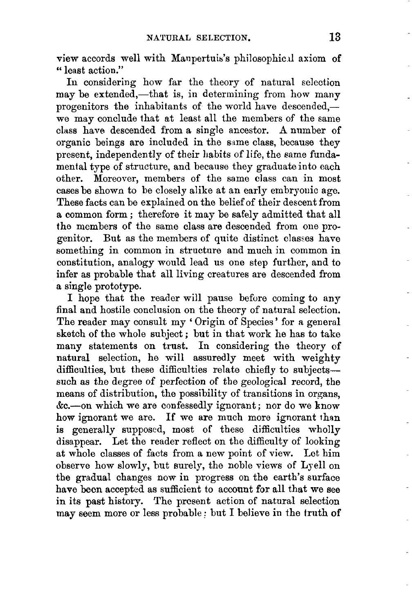view accords well with Maupertuis's philosophic.il axiom of '' least action."

In considering how far the theory of natural selection may be extended,—that is, in determining from how many progenitors the inhabitants of the world have descended,we may conclude that at least all the members of the same class have descended from a single ancestor. A number of organic beings are included in the same class, because they present, independently of their habits of life, the earne fundamental type of structure, and because they graduate into each other. Moreover, members of the same class can in most cases be shown to be closely alike at an early embryonic age. These facts can be explained on tho belief of their descent from a common form ; therefore it may be safely admitted that all the members of the same class are descended from one progenitor. But as the members of quite distinct classes have something in common in structure and much in common in constitution, analogy would lead us one step further, and to infer as probable that all living creatures are descended from a single prototype.

I **hope** that the reader will pause before coming to any final and hostile conclusion on the theory of natural selection. The reader may consult my 'Origin of Species' for a general sketch of the whole subject ; but in that work he has to take many statements on trust. In considering the theory **of**  natural selection, he will assuredly meet with weighty difficulties, but these difficulties relate chiefly to subjectssuch as the degree of perfection of the geological record, the means of distribution, the possibility of transitions in organs, &.-on which we are confessedly ignorant ; nor do we know how ignorant we are. If we are much more ignorant than is generally supposed, most of these difficulties wholly disappear. Let the reader reflect on the difficulty of looking at whole classes of facts from a new point of view. Lot him observe how slowly, hut surely, the noble views of Lye11 on the gradual changes now in progress on the earth's surface have **been** accepted as sufficient to account for all that **we** see in its past history. The present action of natural selection may seem more or less probable ; but I believe in the truth **of**